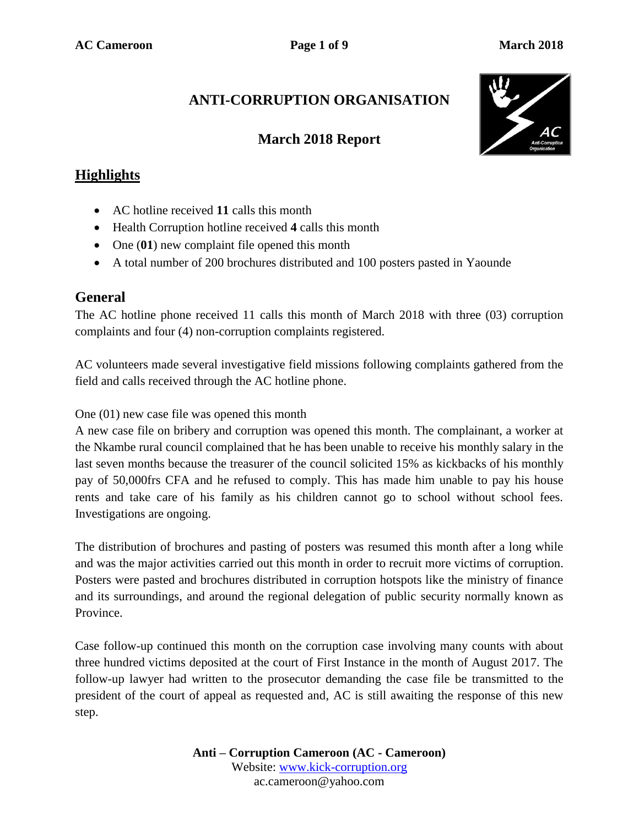# **ANTI-CORRUPTION ORGANISATION**

# **March 2018 Report**



## **Highlights**

- AC hotline received **11** calls this month
- Health Corruption hotline received **4** calls this month
- One (01) new complaint file opened this month
- A total number of 200 brochures distributed and 100 posters pasted in Yaounde

### **General**

The AC hotline phone received 11 calls this month of March 2018 with three (03) corruption complaints and four (4) non-corruption complaints registered.

AC volunteers made several investigative field missions following complaints gathered from the field and calls received through the AC hotline phone.

One (01) new case file was opened this month

A new case file on bribery and corruption was opened this month. The complainant, a worker at the Nkambe rural council complained that he has been unable to receive his monthly salary in the last seven months because the treasurer of the council solicited 15% as kickbacks of his monthly pay of 50,000frs CFA and he refused to comply. This has made him unable to pay his house rents and take care of his family as his children cannot go to school without school fees. Investigations are ongoing.

The distribution of brochures and pasting of posters was resumed this month after a long while and was the major activities carried out this month in order to recruit more victims of corruption. Posters were pasted and brochures distributed in corruption hotspots like the ministry of finance and its surroundings, and around the regional delegation of public security normally known as Province.

Case follow-up continued this month on the corruption case involving many counts with about three hundred victims deposited at the court of First Instance in the month of August 2017. The follow-up lawyer had written to the prosecutor demanding the case file be transmitted to the president of the court of appeal as requested and, AC is still awaiting the response of this new step.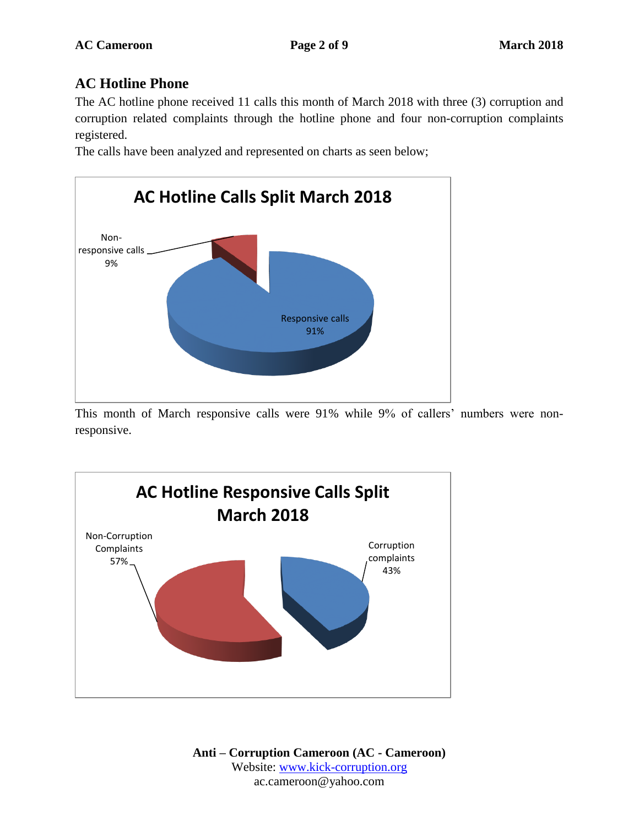# **AC Hotline Phone**

The AC hotline phone received 11 calls this month of March 2018 with three (3) corruption and corruption related complaints through the hotline phone and four non-corruption complaints registered.

The calls have been analyzed and represented on charts as seen below;



This month of March responsive calls were 91% while 9% of callers' numbers were nonresponsive.

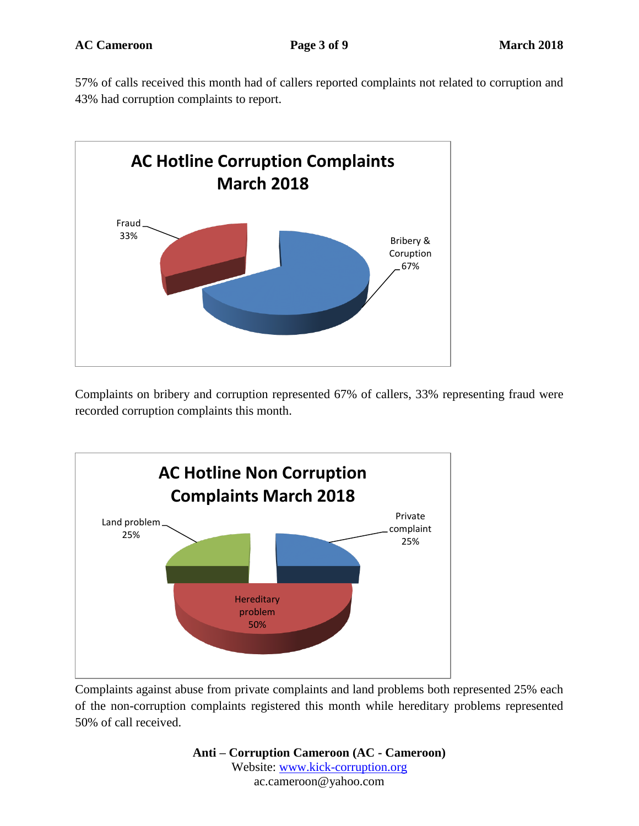57% of calls received this month had of callers reported complaints not related to corruption and 43% had corruption complaints to report.



Complaints on bribery and corruption represented 67% of callers, 33% representing fraud were recorded corruption complaints this month.



Complaints against abuse from private complaints and land problems both represented 25% each of the non-corruption complaints registered this month while hereditary problems represented 50% of call received.

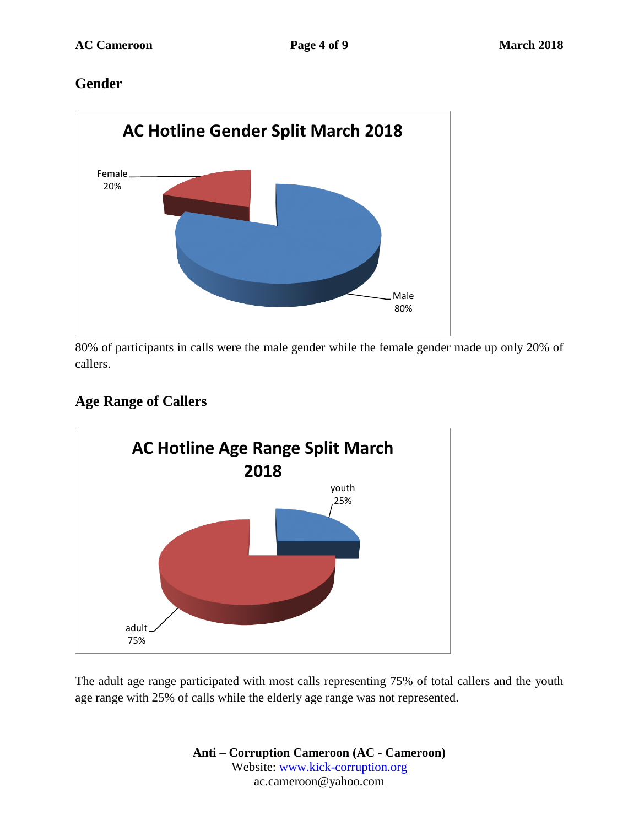# **Gender**



80% of participants in calls were the male gender while the female gender made up only 20% of callers.

# **Age Range of Callers**



The adult age range participated with most calls representing 75% of total callers and the youth age range with 25% of calls while the elderly age range was not represented.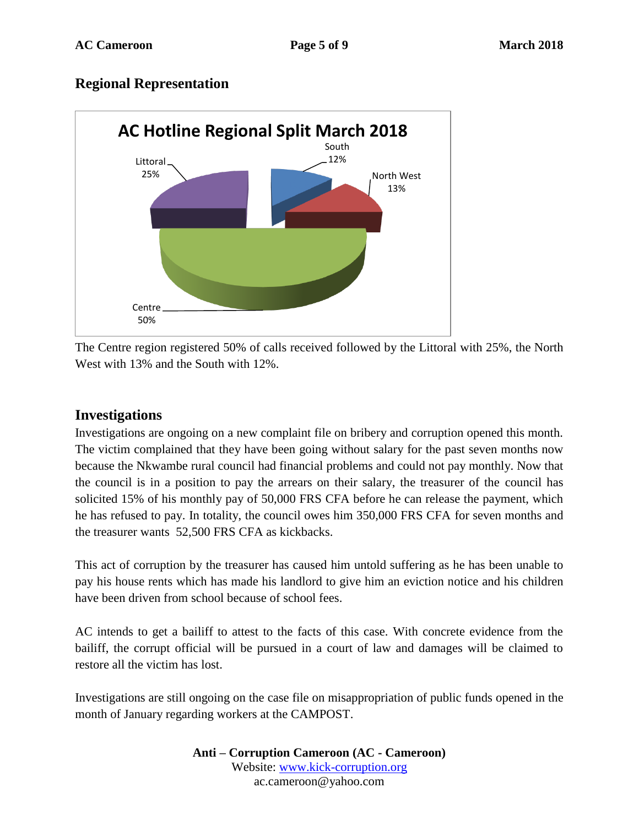# **Regional Representation**



The Centre region registered 50% of calls received followed by the Littoral with 25%, the North West with 13% and the South with 12%.

### **Investigations**

Investigations are ongoing on a new complaint file on bribery and corruption opened this month. The victim complained that they have been going without salary for the past seven months now because the Nkwambe rural council had financial problems and could not pay monthly. Now that the council is in a position to pay the arrears on their salary, the treasurer of the council has solicited 15% of his monthly pay of 50,000 FRS CFA before he can release the payment, which he has refused to pay. In totality, the council owes him 350,000 FRS CFA for seven months and the treasurer wants 52,500 FRS CFA as kickbacks.

This act of corruption by the treasurer has caused him untold suffering as he has been unable to pay his house rents which has made his landlord to give him an eviction notice and his children have been driven from school because of school fees.

AC intends to get a bailiff to attest to the facts of this case. With concrete evidence from the bailiff, the corrupt official will be pursued in a court of law and damages will be claimed to restore all the victim has lost.

Investigations are still ongoing on the case file on misappropriation of public funds opened in the month of January regarding workers at the CAMPOST.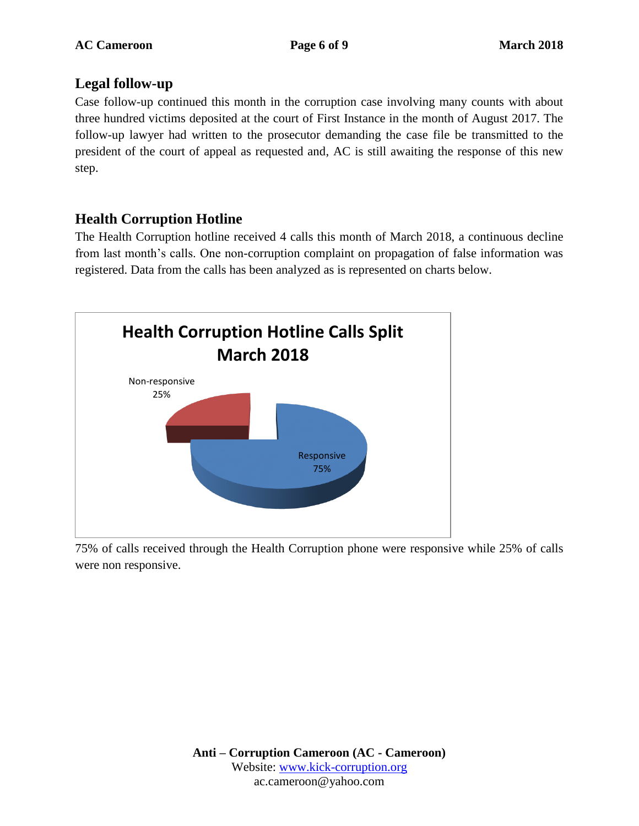# **Legal follow-up**

Case follow-up continued this month in the corruption case involving many counts with about three hundred victims deposited at the court of First Instance in the month of August 2017. The follow-up lawyer had written to the prosecutor demanding the case file be transmitted to the president of the court of appeal as requested and, AC is still awaiting the response of this new step.

# **Health Corruption Hotline**

The Health Corruption hotline received 4 calls this month of March 2018, a continuous decline from last month's calls. One non-corruption complaint on propagation of false information was registered. Data from the calls has been analyzed as is represented on charts below.



75% of calls received through the Health Corruption phone were responsive while 25% of calls were non responsive.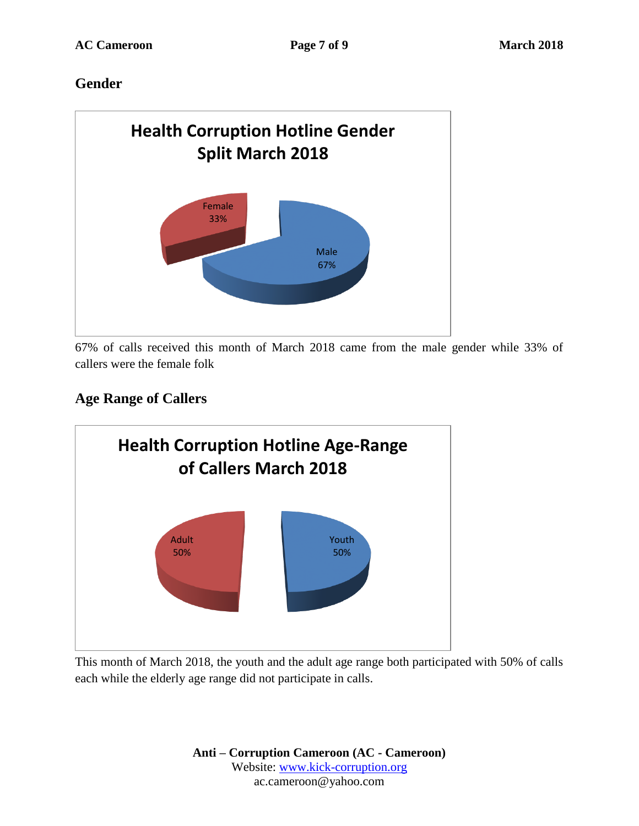# **Gender**



67% of calls received this month of March 2018 came from the male gender while 33% of callers were the female folk

# **Age Range of Callers**



This month of March 2018, the youth and the adult age range both participated with 50% of calls each while the elderly age range did not participate in calls.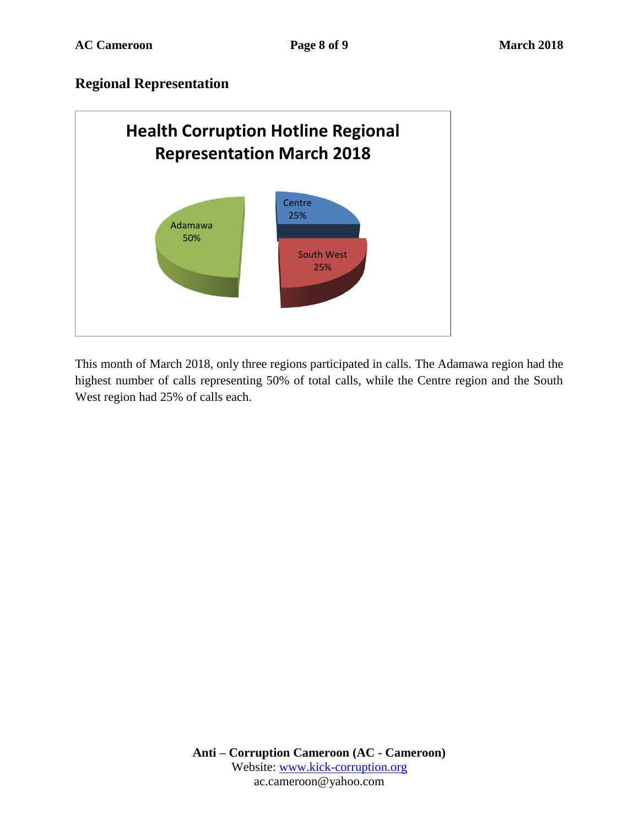# **Regional Representation**



This month of March 2018, only three regions participated in calls. The Adamawa region had the highest number of calls representing 50% of total calls, while the Centre region and the South West region had 25% of calls each.